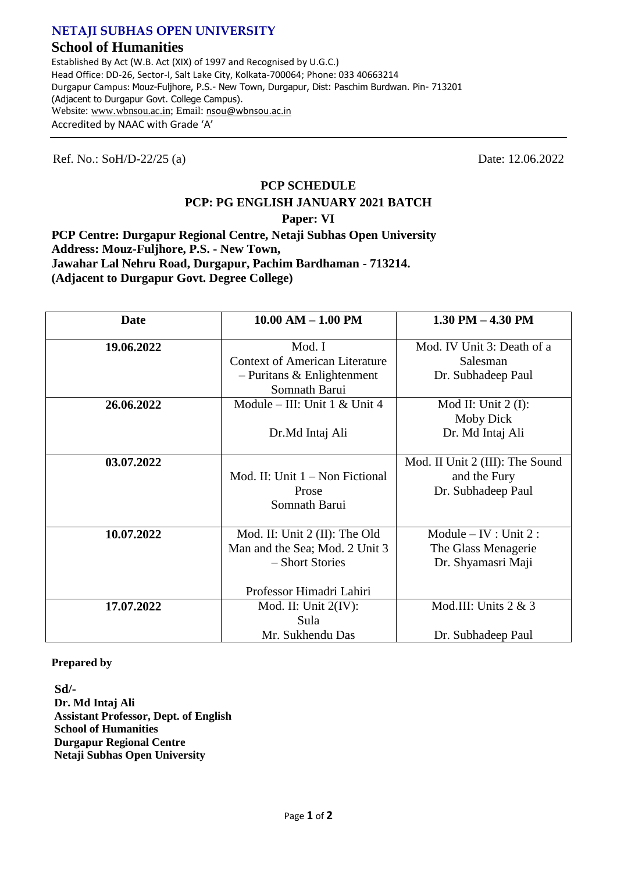### **NETAJI SUBHAS OPEN UNIVERSITY**

## **School of Humanities**

Established By Act (W.B. Act (XIX) of 1997 and Recognised by U.G.C.) Head Office: DD-26, Sector-I, Salt Lake City, Kolkata-700064; Phone: 033 40663214 Durgapur Campus: Mouz-Fuljhore, P.S.- New Town, Durgapur, Dist: Paschim Burdwan. Pin- 713201 (Adjacent to Durgapur Govt. College Campus). Website: www.wbnsou.ac.in; Email: nsou@wbnsou.ac.in Accredited by NAAC with Grade 'A'

Ref. No.: SoH/D-22/25 (a) Date: 12.06.2022

## **PCP SCHEDULE PCP: PG ENGLISH JANUARY 2021 BATCH**

#### **Paper: VI**

**PCP Centre: Durgapur Regional Centre, Netaji Subhas Open University Address: Mouz-Fuljhore, P.S. - New Town, Jawahar Lal Nehru Road, Durgapur, Pachim Bardhaman - 713214. (Adjacent to Durgapur Govt. Degree College)**

| Date       | $10.00$ AM $- 1.00$ PM                                                                                         | 1.30 PM $-$ 4.30 PM                                                   |
|------------|----------------------------------------------------------------------------------------------------------------|-----------------------------------------------------------------------|
| 19.06.2022 | Mod. I<br><b>Context of American Literature</b><br>$-$ Puritans & Enlightenment<br>Somnath Barui               | Mod. IV Unit 3: Death of a<br>Salesman<br>Dr. Subhadeep Paul          |
| 26.06.2022 | Module – III: Unit $1 <$ Unit $4$<br>Dr.Md Intaj Ali                                                           | Mod II: Unit $2$ (I):<br>Moby Dick<br>Dr. Md Intaj Ali                |
| 03.07.2022 | Mod. II: Unit $1 -$ Non Fictional<br>Prose<br>Somnath Barui                                                    | Mod. II Unit 2 (III): The Sound<br>and the Fury<br>Dr. Subhadeep Paul |
| 10.07.2022 | Mod. II: Unit 2 (II): The Old<br>Man and the Sea; Mod. 2 Unit 3<br>- Short Stories<br>Professor Himadri Lahiri | Module $-$ IV : Unit 2 :<br>The Glass Menagerie<br>Dr. Shyamasri Maji |
| 17.07.2022 | Mod. II: Unit $2(IV)$ :<br>Sula<br>Mr. Sukhendu Das                                                            | Mod.III: Units $2 & 3$<br>Dr. Subhadeep Paul                          |

**Prepared by**

**Sd/- Dr. Md Intaj Ali Assistant Professor, Dept. of English School of Humanities Durgapur Regional Centre Netaji Subhas Open University**